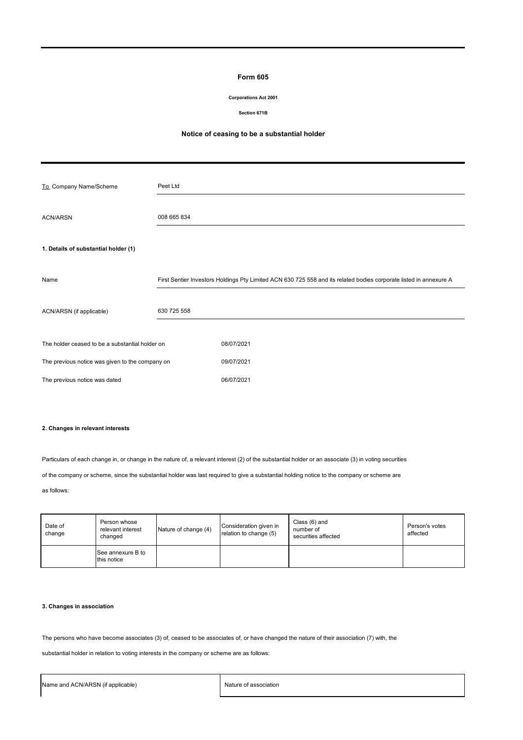#### **Form 605**

#### **Corporations Act 2001**

#### **Section 671B**

# **Notice of ceasing to be a substantial holder**

| To_Company Name/Scheme                          | Peet Ltd    |                                                                                                                    |
|-------------------------------------------------|-------------|--------------------------------------------------------------------------------------------------------------------|
| <b>ACN/ARSN</b>                                 | 008 665 834 |                                                                                                                    |
| 1. Details of substantial holder (1)            |             |                                                                                                                    |
| Name                                            |             | First Sentier Investors Holdings Pty Limited ACN 630 725 558 and its related bodies corporate listed in annexure A |
| ACN/ARSN (if applicable)                        | 630 725 558 |                                                                                                                    |
| The holder ceased to be a substantial holder on |             | 08/07/2021                                                                                                         |
| The previous notice was given to the company on |             | 09/07/2021                                                                                                         |
| The previous notice was dated                   |             | 06/07/2021                                                                                                         |

## **2. Changes in relevant interests**

Particulars of each change in, or change in the nature of, a relevant interest (2) of the substantial holder or an associate (3) in voting securities

of the company or scheme, since the substantial holder was last required to give a substantial holding notice to the company or scheme are

as follows:

| Date of<br>change | Person whose<br>relevant interest<br>changed | Nature of change (4) | Consideration given in<br>relation to change (5) | Class (6) and<br>number of<br>securities affected | Person's votes<br>affected |
|-------------------|----------------------------------------------|----------------------|--------------------------------------------------|---------------------------------------------------|----------------------------|
|                   | See annexure B to<br>this notice             |                      |                                                  |                                                   |                            |

# **3. Changes in association**

The persons who have become associates (3) of, ceased to be associates of, or have changed the nature of their association (7) with, the

substantial holder in relation to voting interests in the company or scheme are as follows: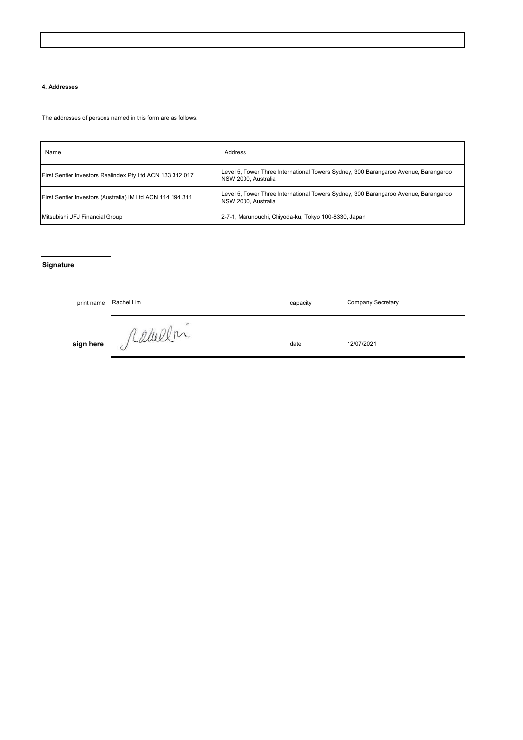### **4. Addresses**

The addresses of persons named in this form are as follows:

| Name                                                       | Address                                                                                                           |
|------------------------------------------------------------|-------------------------------------------------------------------------------------------------------------------|
| First Sentier Investors Realindex Pty Ltd ACN 133 312 017  | Level 5, Tower Three International Towers Sydney, 300 Barangaroo Avenue, Barangaroo<br><b>NSW 2000. Australia</b> |
| First Sentier Investors (Australia) IM Ltd ACN 114 194 311 | Level 5, Tower Three International Towers Sydney, 300 Barangaroo Avenue, Barangaroo<br><b>NSW 2000. Australia</b> |
| Mitsubishi UFJ Financial Group                             | 2-7-1, Marunouchi, Chiyoda-ku, Tokyo 100-8330, Japan                                                              |

# **Signature**

| print name | Rachel Lim | capacity | <b>Company Secretary</b> |
|------------|------------|----------|--------------------------|
| sign here  | Kahelln    | date     | 12/07/2021               |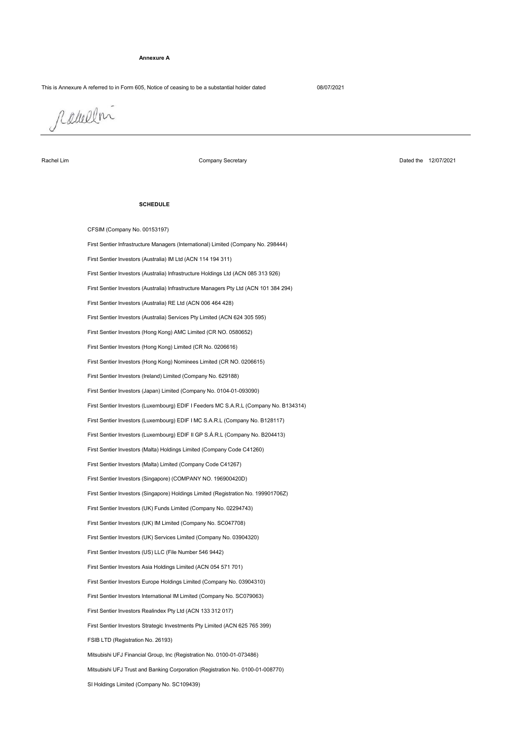#### **Annexure A**

#### This is Annexure A referred to in Form 605, Notice of ceasing to be a substantial holder dated 08/07/2021

rabelm

Rachel Lim

Company Secretary

Dated the 12/07/2021

#### **SCHEDULE**

Mitsubishi UFJ Trust and Banking Corporation (Registration No. 0100-01-008770) FSIB LTD (Registration No. 26193) First Sentier Investors Strategic Investments Pty Limited (ACN 625 765 399) First Sentier Investors Realindex Pty Ltd (ACN 133 312 017) First Sentier Investors International IM Limited (Company No. SC079063) First Sentier Investors Europe Holdings Limited (Company No. 03904310) First Sentier Investors Asia Holdings Limited (ACN 054 571 701) Mitsubishi UFJ Financial Group, Inc (Registration No. 0100-01-073486) First Sentier Investors (UK) Funds Limited (Company No. 02294743) First Sentier Investors (UK) IM Limited (Company No. SC047708) First Sentier Investors (UK) Services Limited (Company No. 03904320) First Sentier Investors (US) LLC (File Number 546 9442) First Sentier Investors (Malta) Limited (Company Code C41267) First Sentier Investors (Malta) Holdings Limited (Company Code C41260) First Sentier Investors (Singapore) Holdings Limited (Registration No. 199901706Z) First Sentier Investors (Singapore) (COMPANY NO. 196900420D) CFSIM (Company No. 00153197) First Sentier Investors (Luxembourg) EDIF I MC S.A.R.L (Company No. B128117) First Sentier Investors (Luxembourg) EDIF II GP S.Á.R.L (Company No. B204413) First Sentier Investors (Japan) Limited (Company No. 0104-01-093090) First Sentier Infrastructure Managers (International) Limited (Company No. 298444) First Sentier Investors (Australia) IM Ltd (ACN 114 194 311) First Sentier Investors (Luxembourg) EDIF I Feeders MC S.A.R.L (Company No. B134314) First Sentier Investors (Ireland) Limited (Company No. 629188) First Sentier Investors (Australia) Infrastructure Holdings Ltd (ACN 085 313 926) First Sentier Investors (Australia) Infrastructure Managers Pty Ltd (ACN 101 384 294) First Sentier Investors (Hong Kong) Nominees Limited (CR NO. 0206615) First Sentier Investors (Australia) RE Ltd (ACN 006 464 428) First Sentier Investors (Hong Kong) Limited (CR No. 0206616) First Sentier Investors (Australia) Services Pty Limited (ACN 624 305 595) First Sentier Investors (Hong Kong) AMC Limited (CR NO. 0580652)

SI Holdings Limited (Company No. SC109439)